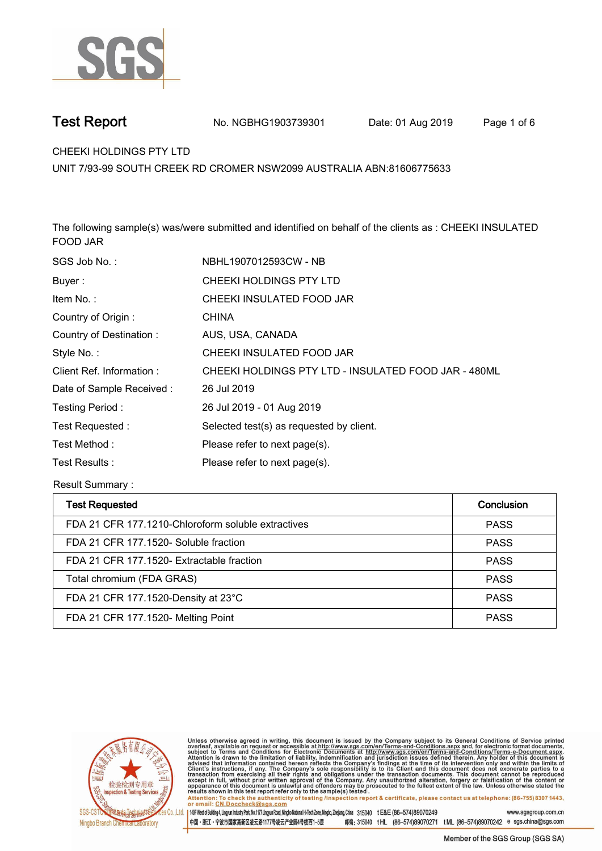

**Test Report. No. NGBHG1903739301** Date: 01 Aug 2019 Page 1 of 6

**CHEEKI HOLDINGS PTY LTD.**

**UNIT 7/93-99 SOUTH CREEK RD CROMER NSW2099 AUSTRALIA ABN:81606775633**

**The following sample(s) was/were submitted and identified on behalf of the clients as : CHEEKI INSULATED FOOD JAR.**

| SGS Job No.:             | NBHL1907012593CW - NB                                |
|--------------------------|------------------------------------------------------|
| Buyer:                   | CHEEKI HOLDINGS PTY LTD                              |
| Item No.:                | CHEEKI INSULATED FOOD JAR                            |
| Country of Origin:       | <b>CHINA</b>                                         |
| Country of Destination:  | AUS, USA, CANADA                                     |
| Style No.:               | CHEEKI INSULATED FOOD JAR                            |
| Client Ref. Information: | CHEEKI HOLDINGS PTY LTD - INSULATED FOOD JAR - 480ML |
| Date of Sample Received: | 26 Jul 2019                                          |
| Testing Period:          | 26 Jul 2019 - 01 Aug 2019                            |
| Test Requested:          | Selected test(s) as requested by client.             |
| Test Method:             | Please refer to next page(s).                        |
| Test Results:            | Please refer to next page(s).                        |

**Result Summary :.**

| <b>Test Requested</b>                              | Conclusion  |
|----------------------------------------------------|-------------|
| FDA 21 CFR 177.1210-Chloroform soluble extractives | <b>PASS</b> |
| FDA 21 CFR 177.1520- Soluble fraction              | <b>PASS</b> |
| FDA 21 CFR 177.1520- Extractable fraction          | <b>PASS</b> |
| Total chromium (FDA GRAS)                          | <b>PASS</b> |
| FDA 21 CFR 177.1520-Density at 23°C                | <b>PASS</b> |
| FDA 21 CFR 177.1520- Melting Point                 | <b>PASS</b> |



Unless otherwise agreed in writing, this document is issued by the Company subject to its General Conditions of Service printed<br>overleaf, available on request or accessible at http://www.sgs.com/en/Terms-and-Conditions.asp

Attention: To check the authenticity of testing linspection report & certificate, please contact us at telephone: (86-755) 8307 1443, or email: CN.Doccheck@sgs.com 15F West of Building 4, Lingyun Industry Park, No.1177 Lingyun Road, Ningbo National Hi-Tech Zone, Ningbo, Zhejiang, China 315040 t E&E (86-574)89070249 www.sasaroup.com.cn

中国・浙江・宁波市国家高新区凌云路1177号凌云产业园4号楼西1-5层 邮编: 315040 tHL (86-574)89070271 tML (86-574)89070242 e sgs.china@sgs.com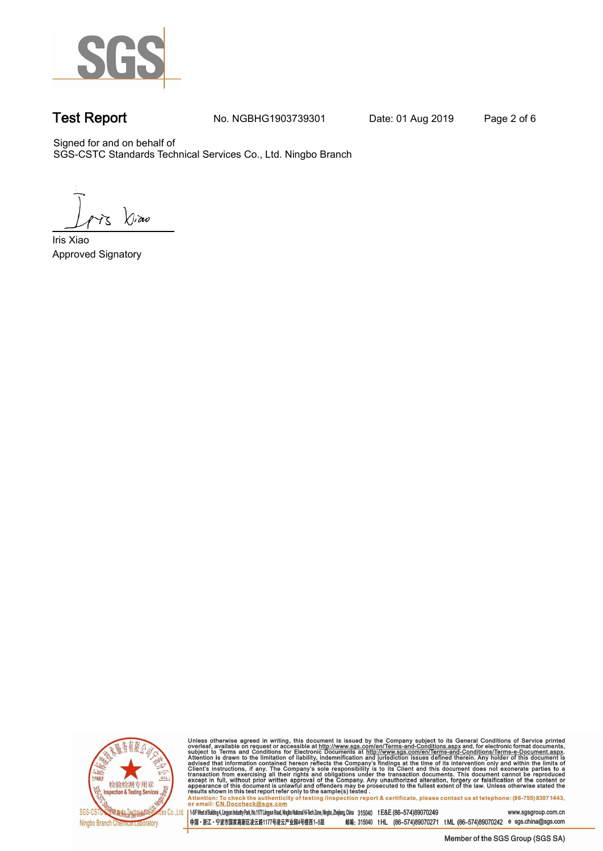

**Test Report. No. NGBHG1903739301 Date: 01 Aug 2019. Page 2 of 6.**

Signed for and on behalf of SGS-CSTC Standards Technical Services Co., Ltd. Ningbo Branch.

 $\chi_{\nu}$ ao

**Approved Signatory . . . Iris Xiao.**



Unless otherwise agreed in writing, this document is issued by the Company subject to its General Conditions of Service printed overleaf, available on request or accessible at http://www.sgs.com/en/Terms-and-Conditions.as

145F West of Building 4, Lingun Industry Park, No. 1177 Lingyun Road, Ningbo National Hi-Tech Zone, Ningbo, Zhejiang, China 315040 t E&E (86-574)89070249 www.sgsgroup.com.cn 中国・浙江・宁波市国家高新区凌云路1177号凌云产业园4号楼西1-5层

邮编: 315040 tHL (86-574)89070271 tML (86-574)89070242 e sgs.china@sgs.com Member of the SGS Group (SGS SA)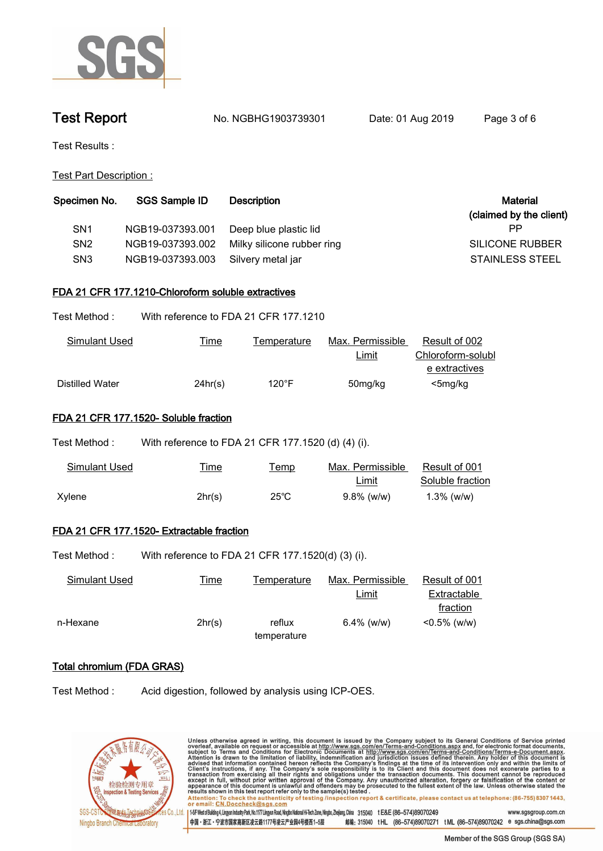

**Test Report. No. NGBHG1903739301 Date: 01 Aug 2019. Page 3 of 6.**

**Test Results :.**

**Test Part Description :.**

| Specimen No.    | <b>SGS Sample ID</b> | <b>Description</b>         | <b>Material</b>         |
|-----------------|----------------------|----------------------------|-------------------------|
|                 |                      |                            | (claimed by the client) |
| SN <sub>1</sub> | NGB19-037393.001     | Deep blue plastic lid      | РP                      |
| SN <sub>2</sub> | NGB19-037393.002     | Milky silicone rubber ring | SILICONE RUBBER         |
| SN <sub>3</sub> | NGB19-037393.003     | Silvery metal jar          | <b>STAINLESS STEEL</b>  |

## **FDA 21 CFR 177.1210-Chloroform soluble extractives.**

| Test Method : | With reference to FDA 21 CFR 177.1210 |
|---------------|---------------------------------------|
|               |                                       |

| Simulant Used   | <u>Time</u> | l emperature | Max. Permissible | Result of 002     |
|-----------------|-------------|--------------|------------------|-------------------|
|                 |             |              | <b>Limit</b>     | Chloroform-solubl |
|                 |             |              |                  | e extractives     |
| Distilled Water | 24hr(s)     | 120°F        | 50mg/kg          | $<$ 5mg/kg        |

## **FDA 21 CFR 177.1520- Soluble fraction.**

| Test Method : . | With reference to FDA 21 CFR 177.1520 (d) (4) (i). |                |                           |                                   |
|-----------------|----------------------------------------------------|----------------|---------------------------|-----------------------------------|
| Simulant Used   | <u>Time</u>                                        | Temp           | Max. Permissible<br>Limit | Result of 001<br>Soluble fraction |
| Xylene          | 2hr(s)                                             | $25^{\circ}$ C | $9.8\%$ (w/w)             | $1.3\%$ (w/w)                     |

# **FDA 21 CFR 177.1520- Extractable fraction.**

Test Method : With reference to FDA 21 CFR 177.1520(d) (3) (i).

| Simulant Used | <u>Time</u> | Temperature | Max. Permissible | Result of 001   |  |
|---------------|-------------|-------------|------------------|-----------------|--|
|               |             |             | Limit            | Extractable     |  |
|               |             |             |                  | fraction        |  |
| n-Hexane      | 2hr(s)      | reflux      | $6.4\%$ (w/w)    | $< 0.5\%$ (w/w) |  |
|               |             | temperature |                  |                 |  |

中国・浙江・宁波市国家高新区凌云路1177号凌云产业园4号楼西1-5层

# **Total chromium (FDA GRAS).**

**Test Method :. Acid digestion, followed by analysis using ICP-OES..**



| Unless otherwise agreed in writing, this document is issued by the Company subject to its General Conditions of Service printed                          |                     |
|----------------------------------------------------------------------------------------------------------------------------------------------------------|---------------------|
| overleaf, available on request or accessible at http://www.sqs.com/en/Terms-and-Conditions.aspx and, for electronic format documents,                    |                     |
| subject to Terms and Conditions for Electronic Documents at http://www.sgs.com/en/Terms-and-Conditions/Terms-e-Document.aspx.                            |                     |
| Attention is drawn to the limitation of liability, indemnification and jurisdiction issues defined therein. Any holder of this document is               |                     |
| advised that information contained hereon reflects the Company's findings at the time of its intervention only and within the limits of                  |                     |
| Client's instructions, if any. The Company's sole responsibility is to its Client and this document does not exonerate parties to a                      |                     |
| transaction from exercising all their rights and obligations under the transaction documents. This document cannot be reproduced                         |                     |
| except in full, without prior written approval of the Company. Any unauthorized alteration, forgery or falsification of the content or                   |                     |
| appearance of this document is unlawful and offenders may be prosecuted to the fullest extent of the law. Unless otherwise stated the                    |                     |
| results shown in this test report refer only to the sample(s) tested.                                                                                    |                     |
| Attention: To check the authenticity of testing /inspection report & certificate, please contact us at telephone: (86-755) 8307 1443,                    |                     |
| or email: CN.Doccheck@sgs.com                                                                                                                            |                     |
|                                                                                                                                                          |                     |
| 145F West of Building 4, Lingyun Industry Park, No.1177 Lingyun Road, Ningbo Nafonal Hi-Tech Zone, Ningbo, Zheijang, China 315040 t E&E (86-574)89070249 | www.sgsgroup.com.cn |

Member of the SGS Group (SGS SA)

邮编: 315040 tHL (86-574)89070271 tML (86-574)89070242 e sgs.china@sgs.com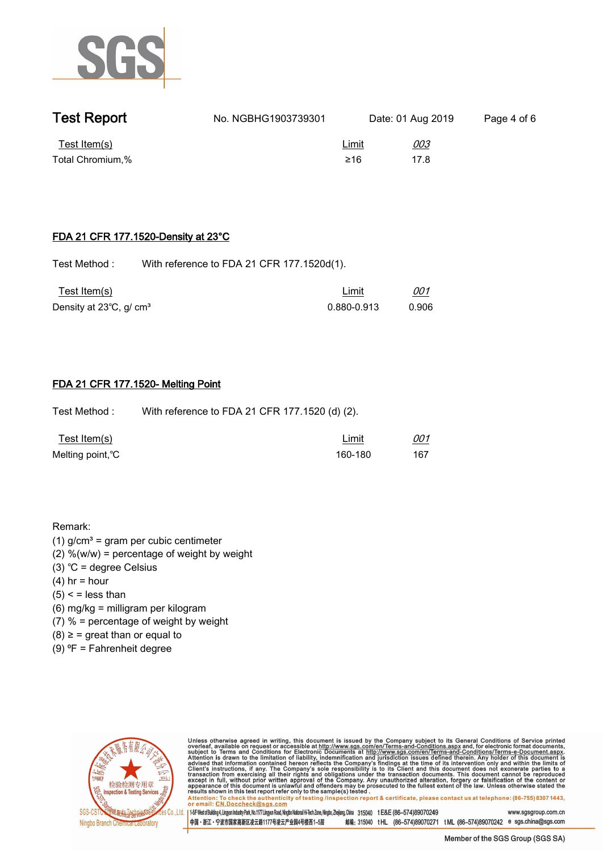

| <b>Test Report</b> | No. NGBHG1903739301 |              | Date: 01 Aug 2019 | Page 4 of 6 |
|--------------------|---------------------|--------------|-------------------|-------------|
| Test Item(s)       |                     | <u>Limit</u> | <u>003</u>        |             |
| Total Chromium,%   |                     | ≥16          | 17 R              |             |

### **FDA 21 CFR 177.1520-Density at 23°C.**

Test Method : With reference to FDA 21 CFR 177.1520d(1).

| Test Item(s)                        | Limit       | 001   |  |
|-------------------------------------|-------------|-------|--|
| Density at 23°C, g/ cm <sup>3</sup> | 0.880-0.913 | 0.906 |  |

### **FDA 21 CFR 177.1520- Melting Point.**

**Test Method :. With reference to FDA 21 CFR 177.1520 (d) (2)..**

| <u>Test Item(s)</u> | Limit   | 001 |  |
|---------------------|---------|-----|--|
| Melting point, °C   | 160-180 | 167 |  |

**Remark:**

- **(1) g/cm³ = gram per cubic centimeter**
- **(2) %(w/w) = percentage of weight by weight**
- **(3) ℃ = degree Celsius**
- **(4) hr = hour**
- **(5) < = less than**
- **(6) mg/kg = milligram per kilogram**
- **(7) % = percentage of weight by weight**
- **(8) ≥ = great than or equal to**
- **(9) ⁰F = Fahrenheit degree.**



Unless otherwise agreed in writing, this document is issued by the Company subject to its General Conditions of Service printed<br>overleaf, available on request or accessible at http://www.sgs.com/en/Terms-and-Conditions.asp

Attention: To check the authenticity of testing linspection report & certificate, please contact us at telephone: (86-755) 8307 1443, or email: CN.Doccheck@sgs.com 145F West of Building 4, Lingun Industry Park, No.1177 Lingun Road, Ningbo National Hi-Tech Zone, Ningbo, Zhejiang, China 315040 tE&E (86-574)89070249 www.sasgroup.com.cn

中国·浙江·宁波市国家高新区凌云路1177号凌云产业园4号楼西1-5层 邮编: 315040 tHL (86-574)89070271 tML (86-574)89070242 e sgs.china@sgs.com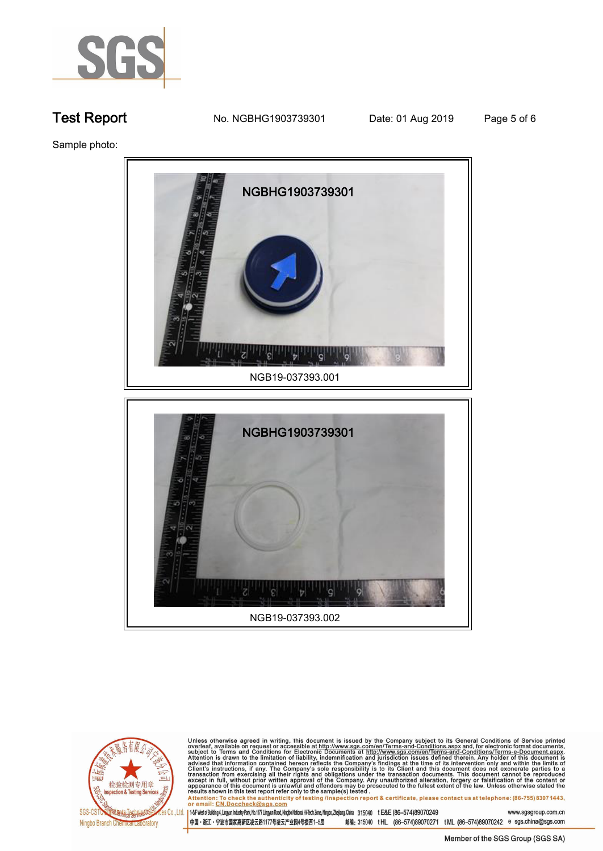

**Test Report. No. NGBHG1903739301 Date: 01 Aug 2019. Page 5 of 6.**

**Sample photo:.**





Unless otherwise agreed in writing, this document is issued by the Company subject to its General Conditions of Service printed overleaf, available on request or accessible at http://www.sgs.com/en/Terms-and-Conditions.as

145F West of Building 4, Lingun Industry Park, No. 1177 Lingyun Road, Ningbo National Hi-Tech Zone, Ningbo, Zhejang, China 315040 t E&E (86-574)89070249 www.sgsgroup.com.cn

中国・浙江・宁波市国家高新区凌云路1177号凌云产业园4号楼西1-5层 邮编: 315040 tHL (86-574)89070271 tML (86-574)89070242 e sgs.china@sgs.com